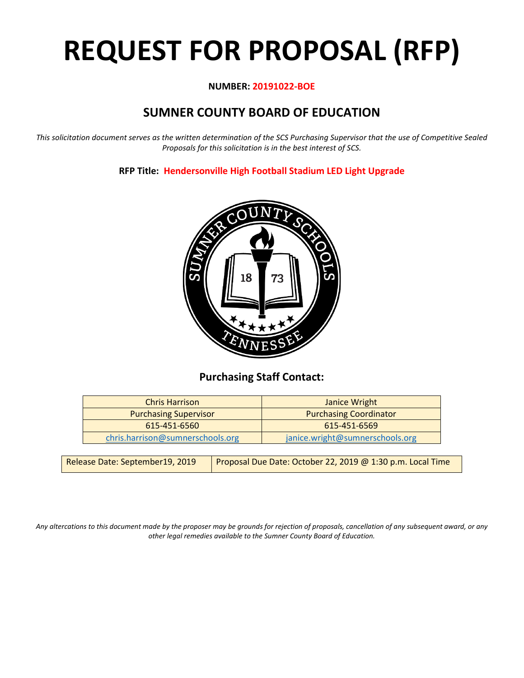# **REQUEST FOR PROPOSAL (RFP)**

#### **NUMBER: 20191022-BOE**

# **SUMNER COUNTY BOARD OF EDUCATION**

*This solicitation document serves as the written determination of the SCS Purchasing Supervisor that the use of Competitive Sealed Proposals for this solicitation is in the best interest of SCS.*

**RFP Title: Hendersonville High Football Stadium LED Light Upgrade**



## **Purchasing Staff Contact:**

| <b>Chris Harrison</b>            | Janice Wright                   |
|----------------------------------|---------------------------------|
| <b>Purchasing Supervisor</b>     | <b>Purchasing Coordinator</b>   |
| 615-451-6560                     | 615-451-6569                    |
| chris.harrison@sumnerschools.org | janice.wright@sumnerschools.org |

| Release Date: September19, 2019 | Proposal Due Date: October 22, 2019 @ 1:30 p.m. Local Time |
|---------------------------------|------------------------------------------------------------|
|---------------------------------|------------------------------------------------------------|

*Any altercations to this document made by the proposer may be grounds for rejection of proposals, cancellation of any subsequent award, or any other legal remedies available to the Sumner County Board of Education.*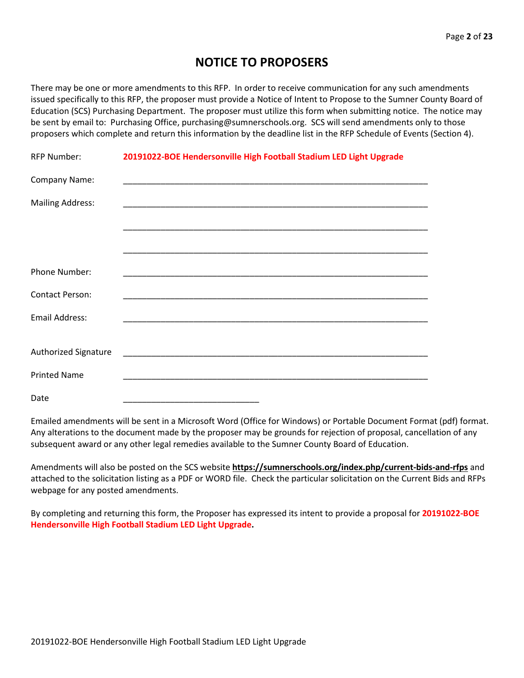## **NOTICE TO PROPOSERS**

There may be one or more amendments to this RFP. In order to receive communication for any such amendments issued specifically to this RFP, the proposer must provide a Notice of Intent to Propose to the Sumner County Board of Education (SCS) Purchasing Department. The proposer must utilize this form when submitting notice. The notice may be sent by email to: Purchasing Office, purchasing@sumnerschools.org. SCS will send amendments only to those proposers which complete and return this information by the deadline list in the RFP Schedule of Events (Section 4).

| <b>RFP Number:</b>          | 20191022-BOE Hendersonville High Football Stadium LED Light Upgrade |  |
|-----------------------------|---------------------------------------------------------------------|--|
| Company Name:               |                                                                     |  |
| <b>Mailing Address:</b>     |                                                                     |  |
|                             |                                                                     |  |
|                             |                                                                     |  |
| Phone Number:               |                                                                     |  |
| <b>Contact Person:</b>      |                                                                     |  |
| Email Address:              |                                                                     |  |
|                             |                                                                     |  |
| <b>Authorized Signature</b> |                                                                     |  |
| <b>Printed Name</b>         |                                                                     |  |
| Date                        |                                                                     |  |

Emailed amendments will be sent in a Microsoft Word (Office for Windows) or Portable Document Format (pdf) format. Any alterations to the document made by the proposer may be grounds for rejection of proposal, cancellation of any subsequent award or any other legal remedies available to the Sumner County Board of Education.

Amendments will also be posted on the SCS website **https://sumnerschools.org/index.php/current-bids-and-rfps** and attached to the solicitation listing as a PDF or WORD file. Check the particular solicitation on the Current Bids and RFPs webpage for any posted amendments.

By completing and returning this form, the Proposer has expressed its intent to provide a proposal for **20191022-BOE Hendersonville High Football Stadium LED Light Upgrade.**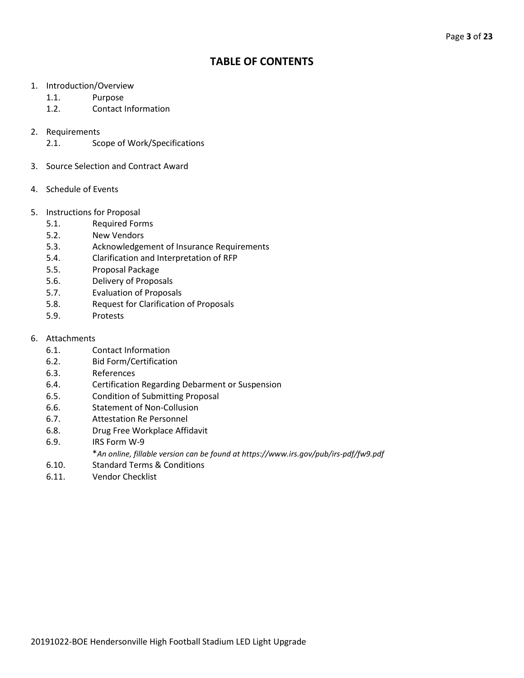## **TABLE OF CONTENTS**

- 1. Introduction/Overview
	- 1.1. Purpose
	- 1.2. Contact Information
- 2. Requirements
	- 2.1. Scope of Work/Specifications
- 3. Source Selection and Contract Award
- 4. Schedule of Events
- 5. Instructions for Proposal
	- 5.1. Required Forms
	- 5.2. New Vendors
	- 5.3. Acknowledgement of Insurance Requirements
	- 5.4. Clarification and Interpretation of RFP
	- 5.5. Proposal Package
	- 5.6. Delivery of Proposals
	- 5.7. Evaluation of Proposals
	- 5.8. Request for Clarification of Proposals
	- 5.9. Protests
- 6. Attachments
	- 6.1. Contact Information
	- 6.2. Bid Form/Certification
	- 6.3. References
	- 6.4. Certification Regarding Debarment or Suspension
	- 6.5. Condition of Submitting Proposal
	- 6.6. Statement of Non-Collusion
	- 6.7. Attestation Re Personnel
	- 6.8. Drug Free Workplace Affidavit
	- 6.9. IRS Form W-9
		- \**An online, fillable version can be found at https://www.irs.gov/pub/irs-pdf/fw9.pdf*
	- 6.10. Standard Terms & Conditions
	- 6.11. Vendor Checklist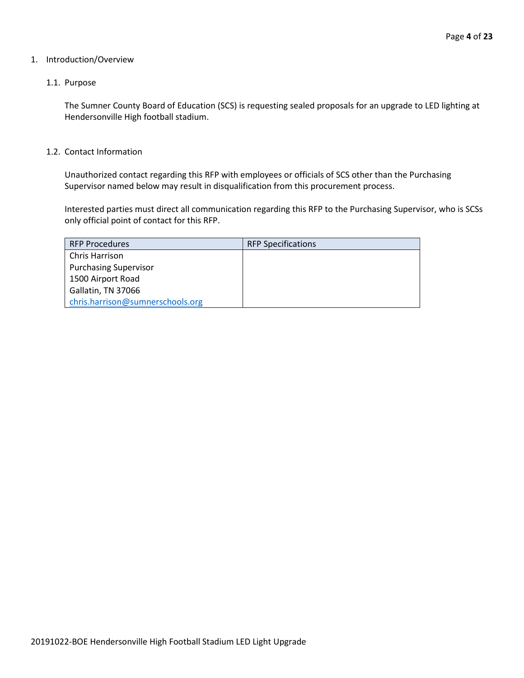#### 1. Introduction/Overview

#### 1.1. Purpose

The Sumner County Board of Education (SCS) is requesting sealed proposals for an upgrade to LED lighting at Hendersonville High football stadium.

#### 1.2. Contact Information

Unauthorized contact regarding this RFP with employees or officials of SCS other than the Purchasing Supervisor named below may result in disqualification from this procurement process.

Interested parties must direct all communication regarding this RFP to the Purchasing Supervisor, who is SCSs only official point of contact for this RFP.

| <b>RFP Procedures</b>            | <b>RFP Specifications</b> |
|----------------------------------|---------------------------|
| <b>Chris Harrison</b>            |                           |
| <b>Purchasing Supervisor</b>     |                           |
| 1500 Airport Road                |                           |
| Gallatin, TN 37066               |                           |
| chris.harrison@sumnerschools.org |                           |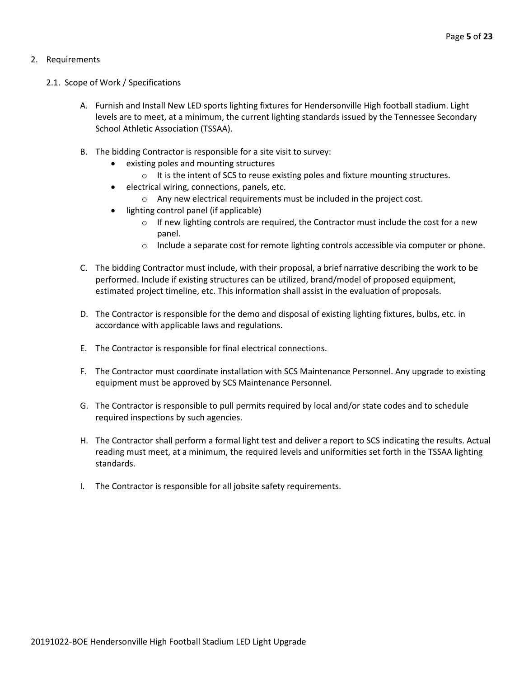#### 2. Requirements

- 2.1. Scope of Work / Specifications
	- A. Furnish and Install New LED sports lighting fixtures for Hendersonville High football stadium. Light levels are to meet, at a minimum, the current lighting standards issued by the Tennessee Secondary School Athletic Association (TSSAA).
	- B. The bidding Contractor is responsible for a site visit to survey:
		- existing poles and mounting structures
			- $\circ$  It is the intent of SCS to reuse existing poles and fixture mounting structures.
		- electrical wiring, connections, panels, etc.
			- o Any new electrical requirements must be included in the project cost.
		- lighting control panel (if applicable)
			- $\circ$  If new lighting controls are required, the Contractor must include the cost for a new panel.
			- $\circ$  Include a separate cost for remote lighting controls accessible via computer or phone.
	- C. The bidding Contractor must include, with their proposal, a brief narrative describing the work to be performed. Include if existing structures can be utilized, brand/model of proposed equipment, estimated project timeline, etc. This information shall assist in the evaluation of proposals.
	- D. The Contractor is responsible for the demo and disposal of existing lighting fixtures, bulbs, etc. in accordance with applicable laws and regulations.
	- E. The Contractor is responsible for final electrical connections.
	- F. The Contractor must coordinate installation with SCS Maintenance Personnel. Any upgrade to existing equipment must be approved by SCS Maintenance Personnel.
	- G. The Contractor is responsible to pull permits required by local and/or state codes and to schedule required inspections by such agencies.
	- H. The Contractor shall perform a formal light test and deliver a report to SCS indicating the results. Actual reading must meet, at a minimum, the required levels and uniformities set forth in the TSSAA lighting standards.
	- I. The Contractor is responsible for all jobsite safety requirements.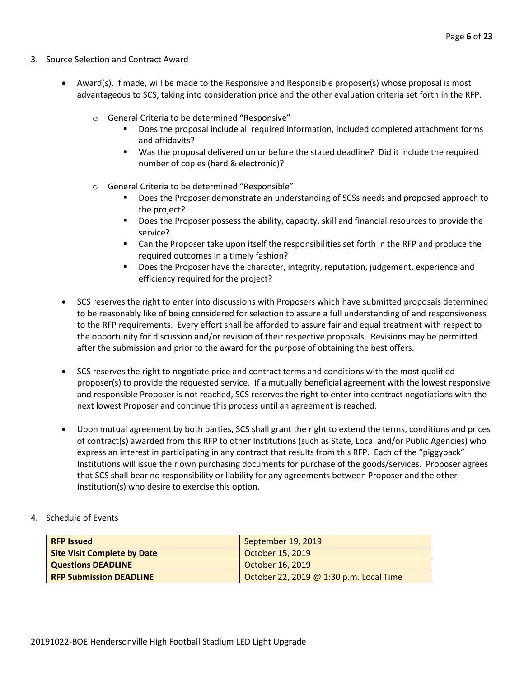- 3. Source Selection and Contract Award
	- Award(s), if made, will be made to the Responsive and Responsible proposer(s) whose proposal is most advantageous to SCS, taking into consideration price and the other evaluation criteria set forth in the RFP.
		- o General Criteria to be determined "Responsive"
			- Does the proposal include all required information, included completed attachment forms and affidavits?
			- Was the proposal delivered on or before the stated deadline? Did it include the required number of copies (hard & electronic)?
		- o General Criteria to be determined "Responsible"
			- Does the Proposer demonstrate an understanding of SCSs needs and proposed approach to the project?
			- **Does the Proposer possess the ability, capacity, skill and financial resources to provide the** service?
			- Can the Proposer take upon itself the responsibilities set forth in the RFP and produce the required outcomes in a timely fashion?
			- **Does the Proposer have the character, integrity, reputation, judgement, experience and** efficiency required for the project?
	- SCS reserves the right to enter into discussions with Proposers which have submitted proposals determined to be reasonably like of being considered for selection to assure a full understanding of and responsiveness to the RFP requirements. Every effort shall be afforded to assure fair and equal treatment with respect to the opportunity for discussion and/or revision of their respective proposals. Revisions may be permitted after the submission and prior to the award for the purpose of obtaining the best offers.
	- SCS reserves the right to negotiate price and contract terms and conditions with the most qualified proposer(s) to provide the requested service. If a mutually beneficial agreement with the lowest responsive and responsible Proposer is not reached, SCS reserves the right to enter into contract negotiations with the next lowest Proposer and continue this process until an agreement is reached.
	- Upon mutual agreement by both parties, SCS shall grant the right to extend the terms, conditions and prices of contract(s) awarded from this RFP to other Institutions (such as State, Local and/or Public Agencies) who express an interest in participating in any contract that results from this RFP. Each of the "piggyback" Institutions will issue their own purchasing documents for purchase of the goods/services. Proposer agrees that SCS shall bear no responsibility or liability for any agreements between Proposer and the other Institution(s) who desire to exercise this option.
- 4. Schedule of Events

| <b>RFP Issued</b>                  | September 19, 2019                      |
|------------------------------------|-----------------------------------------|
| <b>Site Visit Complete by Date</b> | October 15, 2019                        |
| <b>Questions DEADLINE</b>          | October 16, 2019                        |
| <b>RFP Submission DEADLINE</b>     | October 22, 2019 @ 1:30 p.m. Local Time |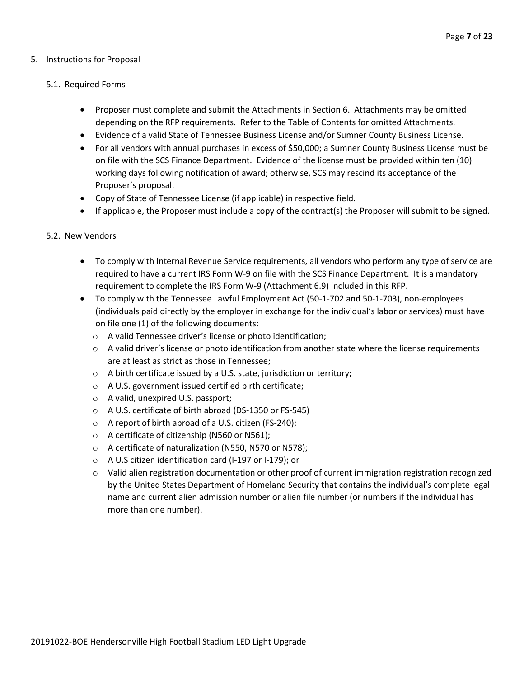#### 5. Instructions for Proposal

#### 5.1. Required Forms

- Proposer must complete and submit the Attachments in Section 6. Attachments may be omitted depending on the RFP requirements. Refer to the Table of Contents for omitted Attachments.
- Evidence of a valid State of Tennessee Business License and/or Sumner County Business License.
- For all vendors with annual purchases in excess of \$50,000; a Sumner County Business License must be on file with the SCS Finance Department. Evidence of the license must be provided within ten (10) working days following notification of award; otherwise, SCS may rescind its acceptance of the Proposer's proposal.
- Copy of State of Tennessee License (if applicable) in respective field.
- If applicable, the Proposer must include a copy of the contract(s) the Proposer will submit to be signed.

#### 5.2. New Vendors

- To comply with Internal Revenue Service requirements, all vendors who perform any type of service are required to have a current IRS Form W-9 on file with the SCS Finance Department. It is a mandatory requirement to complete the IRS Form W-9 (Attachment 6.9) included in this RFP.
- To comply with the Tennessee Lawful Employment Act (50-1-702 and 50-1-703), non-employees (individuals paid directly by the employer in exchange for the individual's labor or services) must have on file one (1) of the following documents:
	- o A valid Tennessee driver's license or photo identification;
	- $\circ$  A valid driver's license or photo identification from another state where the license requirements are at least as strict as those in Tennessee;
	- o A birth certificate issued by a U.S. state, jurisdiction or territory;
	- o A U.S. government issued certified birth certificate;
	- o A valid, unexpired U.S. passport;
	- o A U.S. certificate of birth abroad (DS-1350 or FS-545)
	- o A report of birth abroad of a U.S. citizen (FS-240);
	- o A certificate of citizenship (N560 or N561);
	- o A certificate of naturalization (N550, N570 or N578);
	- o A U.S citizen identification card (I-197 or I-179); or
	- $\circ$  Valid alien registration documentation or other proof of current immigration registration recognized by the United States Department of Homeland Security that contains the individual's complete legal name and current alien admission number or alien file number (or numbers if the individual has more than one number).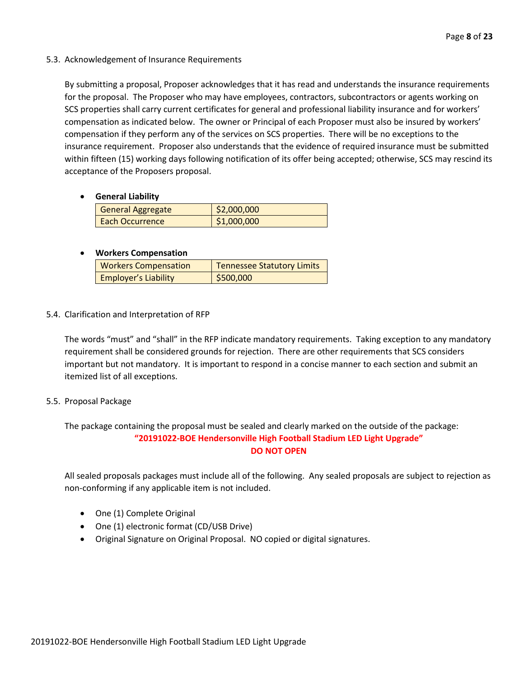#### 5.3. Acknowledgement of Insurance Requirements

By submitting a proposal, Proposer acknowledges that it has read and understands the insurance requirements for the proposal. The Proposer who may have employees, contractors, subcontractors or agents working on SCS properties shall carry current certificates for general and professional liability insurance and for workers' compensation as indicated below. The owner or Principal of each Proposer must also be insured by workers' compensation if they perform any of the services on SCS properties. There will be no exceptions to the insurance requirement. Proposer also understands that the evidence of required insurance must be submitted within fifteen (15) working days following notification of its offer being accepted; otherwise, SCS may rescind its acceptance of the Proposers proposal.

#### • **General Liability**

| <b>General Aggregate</b> | $\frac{1}{2}$ ,000,000 |
|--------------------------|------------------------|
| Each Occurrence          | \$1,000,000            |

#### • **Workers Compensation**

| <b>Workers Compensation</b> | <b>Tennessee Statutory Limits</b> |
|-----------------------------|-----------------------------------|
| <b>Employer's Liability</b> | \$500,000                         |

#### 5.4. Clarification and Interpretation of RFP

The words "must" and "shall" in the RFP indicate mandatory requirements. Taking exception to any mandatory requirement shall be considered grounds for rejection. There are other requirements that SCS considers important but not mandatory. It is important to respond in a concise manner to each section and submit an itemized list of all exceptions.

#### 5.5. Proposal Package

The package containing the proposal must be sealed and clearly marked on the outside of the package: **"20191022-BOE Hendersonville High Football Stadium LED Light Upgrade" DO NOT OPEN**

All sealed proposals packages must include all of the following. Any sealed proposals are subject to rejection as non-conforming if any applicable item is not included.

- One (1) Complete Original
- One (1) electronic format (CD/USB Drive)
- Original Signature on Original Proposal. NO copied or digital signatures.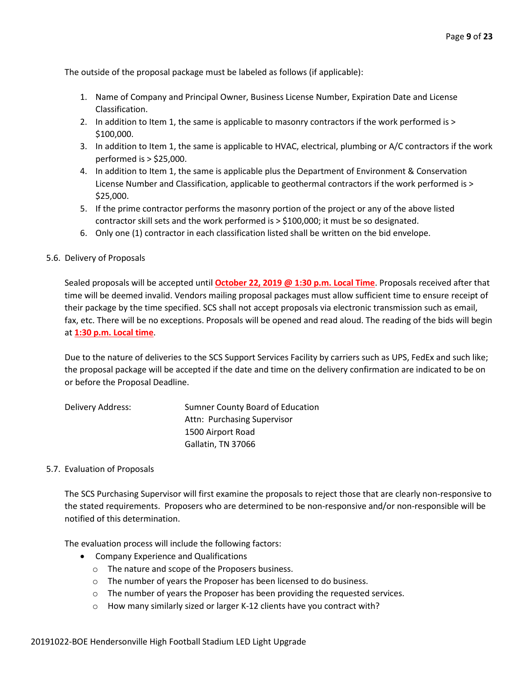The outside of the proposal package must be labeled as follows (if applicable):

- 1. Name of Company and Principal Owner, Business License Number, Expiration Date and License Classification.
- 2. In addition to Item 1, the same is applicable to masonry contractors if the work performed is > \$100,000.
- 3. In addition to Item 1, the same is applicable to HVAC, electrical, plumbing or A/C contractors if the work performed is > \$25,000.
- 4. In addition to Item 1, the same is applicable plus the Department of Environment & Conservation License Number and Classification, applicable to geothermal contractors if the work performed is > \$25,000.
- 5. If the prime contractor performs the masonry portion of the project or any of the above listed contractor skill sets and the work performed is > \$100,000; it must be so designated.
- 6. Only one (1) contractor in each classification listed shall be written on the bid envelope.
- 5.6. Delivery of Proposals

Sealed proposals will be accepted until **October 22, 2019 @ 1:30 p.m. Local Time**. Proposals received after that time will be deemed invalid. Vendors mailing proposal packages must allow sufficient time to ensure receipt of their package by the time specified. SCS shall not accept proposals via electronic transmission such as email, fax, etc. There will be no exceptions. Proposals will be opened and read aloud. The reading of the bids will begin at **1:30 p.m. Local time**.

Due to the nature of deliveries to the SCS Support Services Facility by carriers such as UPS, FedEx and such like; the proposal package will be accepted if the date and time on the delivery confirmation are indicated to be on or before the Proposal Deadline.

| Delivery Address: | Sumner County Board of Education |
|-------------------|----------------------------------|
|                   | Attn: Purchasing Supervisor      |
|                   | 1500 Airport Road                |
|                   | Gallatin, TN 37066               |

#### 5.7. Evaluation of Proposals

The SCS Purchasing Supervisor will first examine the proposals to reject those that are clearly non-responsive to the stated requirements. Proposers who are determined to be non-responsive and/or non-responsible will be notified of this determination.

The evaluation process will include the following factors:

- Company Experience and Qualifications
	- o The nature and scope of the Proposers business.
	- o The number of years the Proposer has been licensed to do business.
	- o The number of years the Proposer has been providing the requested services.
	- o How many similarly sized or larger K-12 clients have you contract with?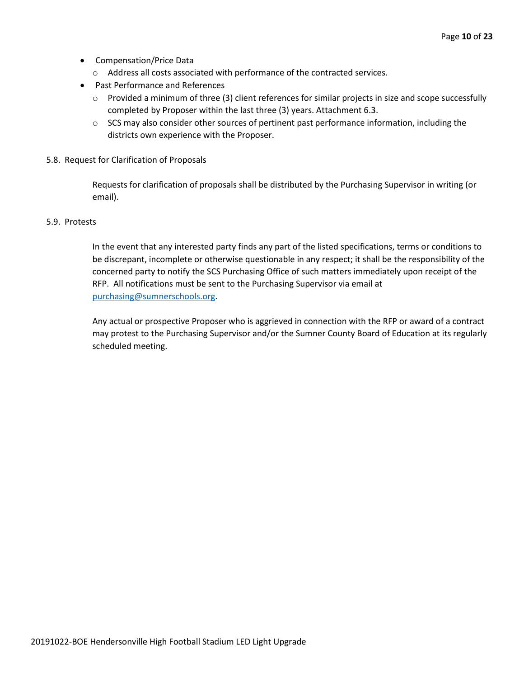- Compensation/Price Data
	- o Address all costs associated with performance of the contracted services.
- Past Performance and References
	- o Provided a minimum of three (3) client references for similar projects in size and scope successfully completed by Proposer within the last three (3) years. Attachment 6.3.
	- $\circ$  SCS may also consider other sources of pertinent past performance information, including the districts own experience with the Proposer.
- 5.8. Request for Clarification of Proposals

Requests for clarification of proposals shall be distributed by the Purchasing Supervisor in writing (or email).

#### 5.9. Protests

In the event that any interested party finds any part of the listed specifications, terms or conditions to be discrepant, incomplete or otherwise questionable in any respect; it shall be the responsibility of the concerned party to notify the SCS Purchasing Office of such matters immediately upon receipt of the RFP. All notifications must be sent to the Purchasing Supervisor via email at [purchasing@sumnerschools.org.](mailto:purchasing@sumnerschools.org)

Any actual or prospective Proposer who is aggrieved in connection with the RFP or award of a contract may protest to the Purchasing Supervisor and/or the Sumner County Board of Education at its regularly scheduled meeting.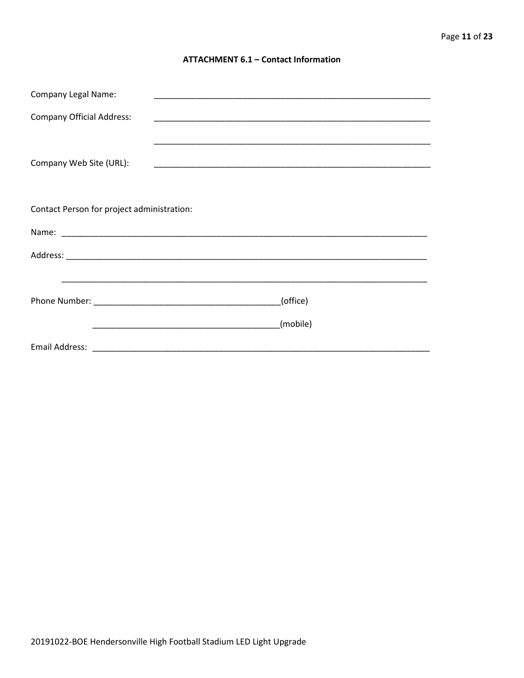#### **ATTACHMENT 6.1 - Contact Information**

| <b>Company Legal Name:</b>                 |          |
|--------------------------------------------|----------|
| <b>Company Official Address:</b>           |          |
|                                            |          |
| Company Web Site (URL):                    |          |
|                                            |          |
| Contact Person for project administration: |          |
|                                            |          |
|                                            |          |
|                                            |          |
|                                            | (office) |
|                                            | (mobile) |
|                                            |          |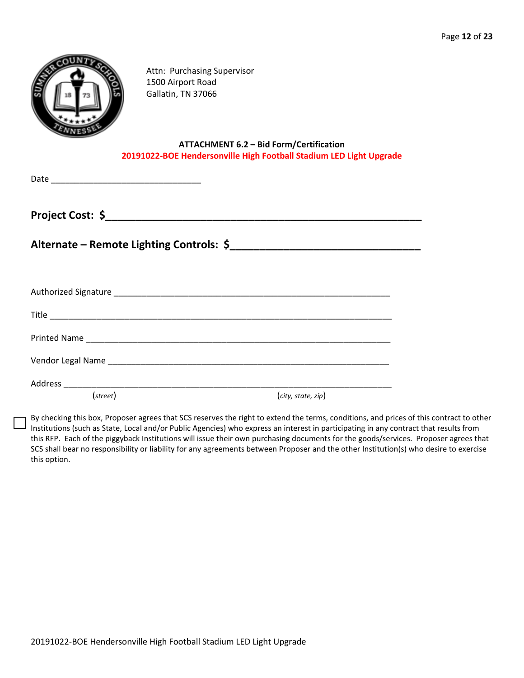

Attn: Purchasing Supervisor 1500 Airport Road Gallatin, TN 37066

#### **ATTACHMENT 6.2 – Bid Form/Certification 20191022-BOE Hendersonville High Football Stadium LED Light Upgrade**

Date \_\_\_\_\_\_\_\_\_\_\_\_\_\_\_\_\_\_\_\_\_\_\_\_\_\_\_\_\_\_\_\_

**Project Cost: \$\_\_\_\_\_\_\_\_\_\_\_\_\_\_\_\_\_\_\_\_\_\_\_\_\_\_\_\_\_\_\_\_\_\_\_\_\_\_\_\_\_\_\_\_\_\_\_\_\_\_\_\_\_**

**Alternate – Remote Lighting Controls: \$\_\_\_\_\_\_\_\_\_\_\_\_\_\_\_\_\_\_\_\_\_\_\_\_\_\_\_\_\_\_\_\_**

| Vendor Legal Name Land and Contract and Contract of the United States and Contract and Contract of the United States |                    |
|----------------------------------------------------------------------------------------------------------------------|--------------------|
| Address __________________________                                                                                   |                    |
| (street)                                                                                                             | (city, state, zip) |

By checking this box, Proposer agrees that SCS reserves the right to extend the terms, conditions, and prices of this contract to other Institutions (such as State, Local and/or Public Agencies) who express an interest in participating in any contract that results from this RFP. Each of the piggyback Institutions will issue their own purchasing documents for the goods/services. Proposer agrees that SCS shall bear no responsibility or liability for any agreements between Proposer and the other Institution(s) who desire to exercise this option.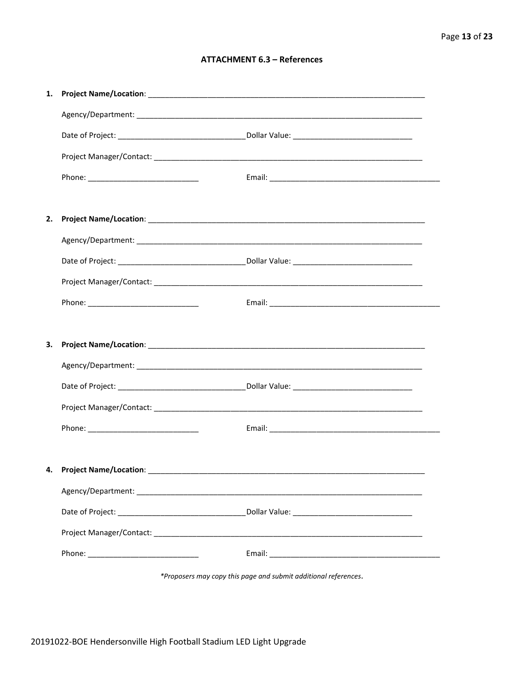#### **ATTACHMENT 6.3 - References**

| 1. |                           |  |
|----|---------------------------|--|
|    |                           |  |
|    |                           |  |
|    |                           |  |
|    |                           |  |
|    |                           |  |
| 2. |                           |  |
|    |                           |  |
|    |                           |  |
|    |                           |  |
|    |                           |  |
|    |                           |  |
| З. |                           |  |
|    |                           |  |
|    |                           |  |
|    |                           |  |
|    |                           |  |
|    |                           |  |
|    | 4. Project Name/Location: |  |
|    |                           |  |
|    |                           |  |
|    |                           |  |
|    |                           |  |
|    |                           |  |

\*Proposers may copy this page and submit additional references.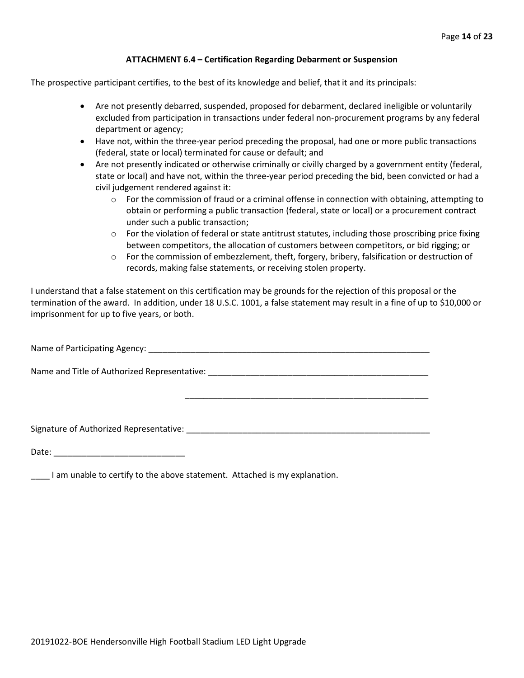#### **ATTACHMENT 6.4 – Certification Regarding Debarment or Suspension**

The prospective participant certifies, to the best of its knowledge and belief, that it and its principals:

- Are not presently debarred, suspended, proposed for debarment, declared ineligible or voluntarily excluded from participation in transactions under federal non-procurement programs by any federal department or agency;
- Have not, within the three-year period preceding the proposal, had one or more public transactions (federal, state or local) terminated for cause or default; and
- Are not presently indicated or otherwise criminally or civilly charged by a government entity (federal, state or local) and have not, within the three-year period preceding the bid, been convicted or had a civil judgement rendered against it:
	- $\circ$  For the commission of fraud or a criminal offense in connection with obtaining, attempting to obtain or performing a public transaction (federal, state or local) or a procurement contract under such a public transaction;
	- $\circ$  For the violation of federal or state antitrust statutes, including those proscribing price fixing between competitors, the allocation of customers between competitors, or bid rigging; or
	- $\circ$  For the commission of embezzlement, theft, forgery, bribery, falsification or destruction of records, making false statements, or receiving stolen property.

\_\_\_\_\_\_\_\_\_\_\_\_\_\_\_\_\_\_\_\_\_\_\_\_\_\_\_\_\_\_\_\_\_\_\_\_\_\_\_\_\_\_\_\_\_\_\_\_\_\_\_\_

I understand that a false statement on this certification may be grounds for the rejection of this proposal or the termination of the award. In addition, under 18 U.S.C. 1001, a false statement may result in a fine of up to \$10,000 or imprisonment for up to five years, or both.

Name of Participating Agency: \_\_\_\_\_\_\_\_\_\_\_\_\_\_\_\_\_\_\_\_\_\_\_\_\_\_\_\_\_\_\_\_\_\_\_\_\_\_\_\_\_\_\_\_\_\_\_\_\_\_\_\_\_\_\_\_\_\_\_\_

Name and Title of Authorized Representative: \_\_\_\_\_\_\_\_\_\_\_\_\_\_\_\_\_\_\_\_\_\_\_\_\_\_\_\_\_\_\_\_\_\_\_\_\_\_\_\_\_\_\_\_\_\_\_

Signature of Authorized Representative: \_\_\_\_\_\_\_\_\_\_\_\_\_\_\_\_\_\_\_\_\_\_\_\_\_\_\_\_\_\_\_\_\_\_\_\_\_\_\_\_\_\_\_\_\_\_\_\_\_\_\_\_

Date: \_\_\_\_\_\_\_\_\_\_\_\_\_\_\_\_\_\_\_\_\_\_\_\_\_\_\_\_

\_\_\_\_ I am unable to certify to the above statement. Attached is my explanation.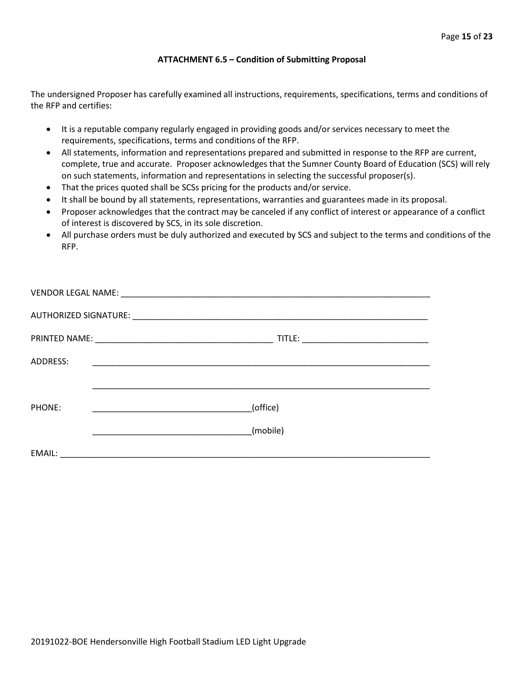#### **ATTACHMENT 6.5 – Condition of Submitting Proposal**

The undersigned Proposer has carefully examined all instructions, requirements, specifications, terms and conditions of the RFP and certifies:

- It is a reputable company regularly engaged in providing goods and/or services necessary to meet the requirements, specifications, terms and conditions of the RFP.
- All statements, information and representations prepared and submitted in response to the RFP are current, complete, true and accurate. Proposer acknowledges that the Sumner County Board of Education (SCS) will rely on such statements, information and representations in selecting the successful proposer(s).
- That the prices quoted shall be SCSs pricing for the products and/or service.
- It shall be bound by all statements, representations, warranties and guarantees made in its proposal.
- Proposer acknowledges that the contract may be canceled if any conflict of interest or appearance of a conflict of interest is discovered by SCS, in its sole discretion.
- All purchase orders must be duly authorized and executed by SCS and subject to the terms and conditions of the RFP.

| <b>ADDRESS:</b> |                                                                                                                       |
|-----------------|-----------------------------------------------------------------------------------------------------------------------|
|                 |                                                                                                                       |
| PHONE:          | (office)                                                                                                              |
|                 | (mobile)                                                                                                              |
| EMAIL:          | <u> 1989 - Jan Berlin, mars eta bainar eta bainar eta baina eta baina eta baina eta baina eta baina eta baina eta</u> |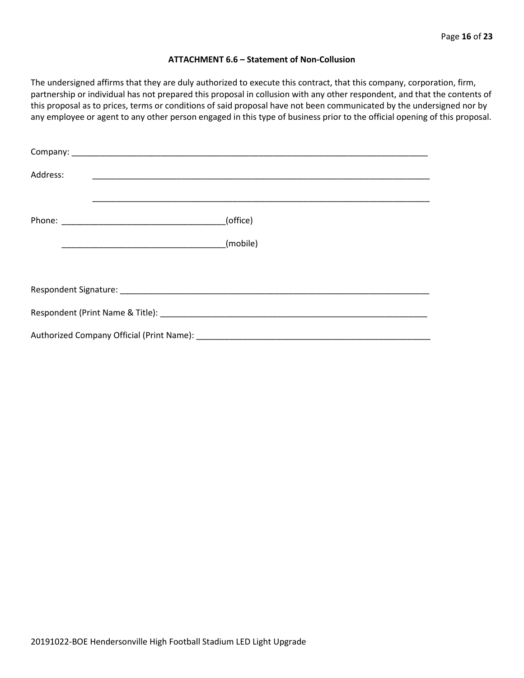#### **ATTACHMENT 6.6 – Statement of Non-Collusion**

The undersigned affirms that they are duly authorized to execute this contract, that this company, corporation, firm, partnership or individual has not prepared this proposal in collusion with any other respondent, and that the contents of this proposal as to prices, terms or conditions of said proposal have not been communicated by the undersigned nor by any employee or agent to any other person engaged in this type of business prior to the official opening of this proposal.

| Address: |          |  |  |  |  |
|----------|----------|--|--|--|--|
|          | (office) |  |  |  |  |
|          | (mobile) |  |  |  |  |
|          |          |  |  |  |  |
|          |          |  |  |  |  |
|          |          |  |  |  |  |
|          |          |  |  |  |  |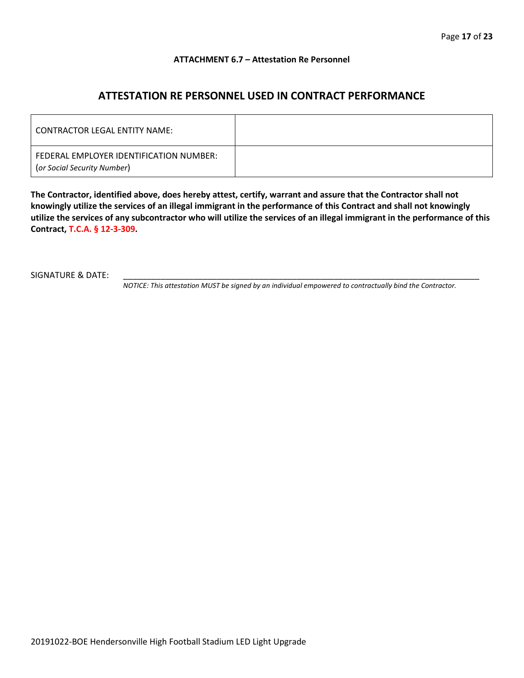#### **ATTACHMENT 6.7 – Attestation Re Personnel**

### **ATTESTATION RE PERSONNEL USED IN CONTRACT PERFORMANCE**

| CONTRACTOR LEGAL ENTITY NAME:                                          |  |
|------------------------------------------------------------------------|--|
| FEDERAL EMPLOYER IDENTIFICATION NUMBER:<br>(or Social Security Number) |  |

**The Contractor, identified above, does hereby attest, certify, warrant and assure that the Contractor shall not knowingly utilize the services of an illegal immigrant in the performance of this Contract and shall not knowingly utilize the services of any subcontractor who will utilize the services of an illegal immigrant in the performance of this Contract, T.C.A. § 12-3-309.**

SIGNATURE & DATE:

*NOTICE: This attestation MUST be signed by an individual empowered to contractually bind the Contractor.*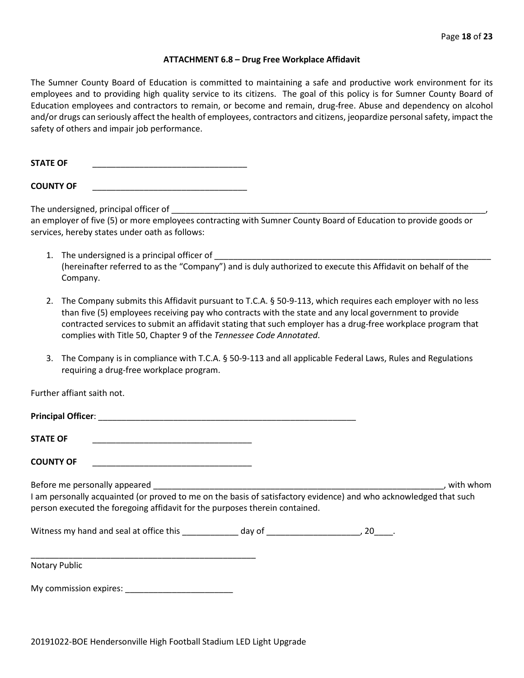#### **ATTACHMENT 6.8 – Drug Free Workplace Affidavit**

The Sumner County Board of Education is committed to maintaining a safe and productive work environment for its employees and to providing high quality service to its citizens. The goal of this policy is for Sumner County Board of Education employees and contractors to remain, or become and remain, drug-free. Abuse and dependency on alcohol and/or drugs can seriously affect the health of employees, contractors and citizens, jeopardize personal safety, impact the safety of others and impair job performance.

STATE OF

**COUNTY OF** \_\_\_\_\_\_\_\_\_\_\_\_\_\_\_\_\_\_\_\_\_\_\_\_\_\_\_\_\_\_\_\_\_

The undersigned, principal officer of

an employer of five (5) or more employees contracting with Sumner County Board of Education to provide goods or services, hereby states under oath as follows:

- 1. The undersigned is a principal officer of (hereinafter referred to as the "Company") and is duly authorized to execute this Affidavit on behalf of the Company.
- 2. The Company submits this Affidavit pursuant to T.C.A. § 50-9-113, which requires each employer with no less than five (5) employees receiving pay who contracts with the state and any local government to provide contracted services to submit an affidavit stating that such employer has a drug-free workplace program that complies with Title 50, Chapter 9 of the *Tennessee Code Annotated*.
- 3. The Company is in compliance with T.C.A. § 50-9-113 and all applicable Federal Laws, Rules and Regulations requiring a drug-free workplace program.

Further affiant saith not.

| <b>STATE OF</b><br><u> 1989 - Johann John Stein, markin fan it ferstjer fan it ferstjer fan it ferstjer fan it ferstjer fan it fers</u>                                                          |  |             |
|--------------------------------------------------------------------------------------------------------------------------------------------------------------------------------------------------|--|-------------|
| <b>COUNTY OF</b>                                                                                                                                                                                 |  |             |
| I am personally acquainted (or proved to me on the basis of satisfactory evidence) and who acknowledged that such<br>person executed the foregoing affidavit for the purposes therein contained. |  | , with whom |
|                                                                                                                                                                                                  |  |             |
| Notary Public                                                                                                                                                                                    |  |             |
|                                                                                                                                                                                                  |  |             |

20191022-BOE Hendersonville High Football Stadium LED Light Upgrade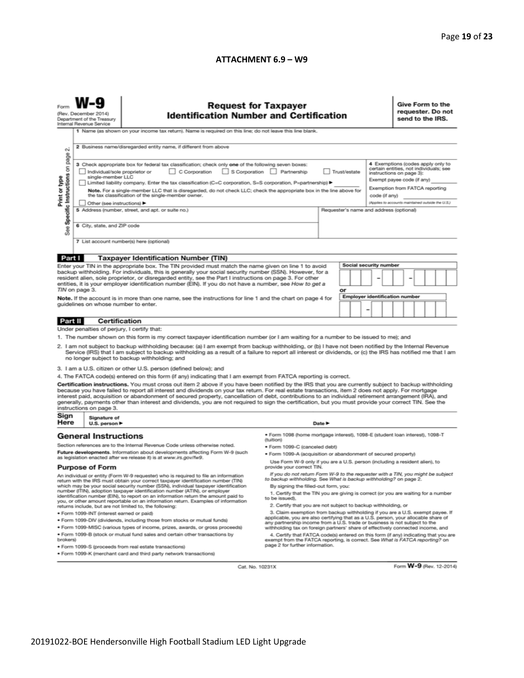#### **ATTACHMENT 6.9 – W9**

| <b>Request for Taxpayer</b><br>(Rev. December 2014)<br><b>Identification Number and Certification</b><br>Department of the Treasury<br>Internal Revenue Service                                                                                                                                                                                                                                                                                                                                                                                                                                                                                                                                                                                                                                                                                                                                                                                                                                                                                                                                                                                                                                                                                                                                                                                                                                                                                                                                                                                                                                                                                                                                                                                                                                                                                                                                                                                                                                                                                                                                                                                                                                                                                                                                                                                                                                                                                                                        |                                                                                                                                                                                                                                                                                                                                                                                                                                                                                                                                        |  |        |                                       |  |  | Give Form to the<br>requester. Do not<br>send to the IRS.                                                                          |  |  |  |  |
|----------------------------------------------------------------------------------------------------------------------------------------------------------------------------------------------------------------------------------------------------------------------------------------------------------------------------------------------------------------------------------------------------------------------------------------------------------------------------------------------------------------------------------------------------------------------------------------------------------------------------------------------------------------------------------------------------------------------------------------------------------------------------------------------------------------------------------------------------------------------------------------------------------------------------------------------------------------------------------------------------------------------------------------------------------------------------------------------------------------------------------------------------------------------------------------------------------------------------------------------------------------------------------------------------------------------------------------------------------------------------------------------------------------------------------------------------------------------------------------------------------------------------------------------------------------------------------------------------------------------------------------------------------------------------------------------------------------------------------------------------------------------------------------------------------------------------------------------------------------------------------------------------------------------------------------------------------------------------------------------------------------------------------------------------------------------------------------------------------------------------------------------------------------------------------------------------------------------------------------------------------------------------------------------------------------------------------------------------------------------------------------------------------------------------------------------------------------------------------------|----------------------------------------------------------------------------------------------------------------------------------------------------------------------------------------------------------------------------------------------------------------------------------------------------------------------------------------------------------------------------------------------------------------------------------------------------------------------------------------------------------------------------------------|--|--------|---------------------------------------|--|--|------------------------------------------------------------------------------------------------------------------------------------|--|--|--|--|
| οú<br>page                                                                                                                                                                                                                                                                                                                                                                                                                                                                                                                                                                                                                                                                                                                                                                                                                                                                                                                                                                                                                                                                                                                                                                                                                                                                                                                                                                                                                                                                                                                                                                                                                                                                                                                                                                                                                                                                                                                                                                                                                                                                                                                                                                                                                                                                                                                                                                                                                                                                             | 1 Name (as shown on your income tax return). Name is required on this line; do not leave this line blank.<br>2 Business name/disregarded entity name, if different from above<br>4 Exemptions (codes apply only to                                                                                                                                                                                                                                                                                                                     |  |        |                                       |  |  |                                                                                                                                    |  |  |  |  |
| Specific Instructions on<br>Print or type                                                                                                                                                                                                                                                                                                                                                                                                                                                                                                                                                                                                                                                                                                                                                                                                                                                                                                                                                                                                                                                                                                                                                                                                                                                                                                                                                                                                                                                                                                                                                                                                                                                                                                                                                                                                                                                                                                                                                                                                                                                                                                                                                                                                                                                                                                                                                                                                                                              | 3 Check appropriate box for federal tax classification; check only one of the following seven boxes:<br>C Corporation<br>S Corporation Partnership<br>Individual/sole proprietor or<br>Trust/estate<br>single-member LLC<br>Limited liability company. Enter the tax classification (C=C corporation, S=S corporation, P=partnership) ▶<br>Note. For a single-member LLC that is disregarded, do not check LLC; check the appropriate box in the line above for<br>the tax classification of the single-member owner.<br>code (if any) |  |        |                                       |  |  | certain entities, not individuals; see<br>instructions on page 3):<br>Exempt payee code (if any)<br>Exemption from FATCA reporting |  |  |  |  |
| See                                                                                                                                                                                                                                                                                                                                                                                                                                                                                                                                                                                                                                                                                                                                                                                                                                                                                                                                                                                                                                                                                                                                                                                                                                                                                                                                                                                                                                                                                                                                                                                                                                                                                                                                                                                                                                                                                                                                                                                                                                                                                                                                                                                                                                                                                                                                                                                                                                                                                    | (Applies to accounts maintained outside the U.S.)<br>Other (see instructions) ▶<br>5 Address (number, street, and apt. or suite no.)<br>Requester's name and address (optional)<br>6 City, state, and ZIP code<br>7 List account number(s) here (optional)                                                                                                                                                                                                                                                                             |  |        |                                       |  |  |                                                                                                                                    |  |  |  |  |
|                                                                                                                                                                                                                                                                                                                                                                                                                                                                                                                                                                                                                                                                                                                                                                                                                                                                                                                                                                                                                                                                                                                                                                                                                                                                                                                                                                                                                                                                                                                                                                                                                                                                                                                                                                                                                                                                                                                                                                                                                                                                                                                                                                                                                                                                                                                                                                                                                                                                                        | Part I<br><b>Taxpayer Identification Number (TIN)</b><br>Social security number                                                                                                                                                                                                                                                                                                                                                                                                                                                        |  |        |                                       |  |  |                                                                                                                                    |  |  |  |  |
| Enter your TIN in the appropriate box. The TIN provided must match the name given on line 1 to avoid<br>backup withholding. For individuals, this is generally your social security number (SSN). However, for a<br>resident alien, sole proprietor, or disregarded entity, see the Part I instructions on page 3. For other<br>entities, it is your employer identification number (EIN). If you do not have a number, see How to get a<br>TIN on page 3.<br>Note. If the account is in more than one name, see the instructions for line 1 and the chart on page 4 for<br>guidelines on whose number to enter.                                                                                                                                                                                                                                                                                                                                                                                                                                                                                                                                                                                                                                                                                                                                                                                                                                                                                                                                                                                                                                                                                                                                                                                                                                                                                                                                                                                                                                                                                                                                                                                                                                                                                                                                                                                                                                                                       |                                                                                                                                                                                                                                                                                                                                                                                                                                                                                                                                        |  |        | or                                    |  |  |                                                                                                                                    |  |  |  |  |
|                                                                                                                                                                                                                                                                                                                                                                                                                                                                                                                                                                                                                                                                                                                                                                                                                                                                                                                                                                                                                                                                                                                                                                                                                                                                                                                                                                                                                                                                                                                                                                                                                                                                                                                                                                                                                                                                                                                                                                                                                                                                                                                                                                                                                                                                                                                                                                                                                                                                                        |                                                                                                                                                                                                                                                                                                                                                                                                                                                                                                                                        |  |        | <b>Employer identification number</b> |  |  |                                                                                                                                    |  |  |  |  |
| Certification<br>Part II<br>Under penalties of perjury, I certify that:<br>1. The number shown on this form is my correct taxpayer identification number (or I am waiting for a number to be issued to me); and<br>2. I am not subject to backup withholding because: (a) I am exempt from backup withholding, or (b) I have not been notified by the Internal Revenue<br>Service (IRS) that I am subject to backup withholding as a result of a failure to report all interest or dividends, or (c) the IRS has notified me that I am<br>no longer subject to backup withholding; and<br>3. I am a U.S. citizen or other U.S. person (defined below); and<br>4. The FATCA code(s) entered on this form (if any) indicating that I am exempt from FATCA reporting is correct.<br>Certification instructions. You must cross out item 2 above if you have been notified by the IRS that you are currently subject to backup withholding<br>because you have failed to report all interest and dividends on your tax return. For real estate transactions, item 2 does not apply. For mortgage<br>interest paid, acquisition or abandonment of secured property, cancellation of debt, contributions to an individual retirement arrangement (IRA), and<br>generally, payments other than interest and dividends, you are not required to sign the certification, but you must provide your correct TIN. See the<br>instructions on page 3.                                                                                                                                                                                                                                                                                                                                                                                                                                                                                                                                                                                                                                                                                                                                                                                                                                                                                                                                                                                                                                              |                                                                                                                                                                                                                                                                                                                                                                                                                                                                                                                                        |  |        |                                       |  |  |                                                                                                                                    |  |  |  |  |
| Sign<br>Here                                                                                                                                                                                                                                                                                                                                                                                                                                                                                                                                                                                                                                                                                                                                                                                                                                                                                                                                                                                                                                                                                                                                                                                                                                                                                                                                                                                                                                                                                                                                                                                                                                                                                                                                                                                                                                                                                                                                                                                                                                                                                                                                                                                                                                                                                                                                                                                                                                                                           | Signature of<br>U.S. person $\blacktriangleright$                                                                                                                                                                                                                                                                                                                                                                                                                                                                                      |  | Date P |                                       |  |  |                                                                                                                                    |  |  |  |  |
| · Form 1098 (home mortgage interest), 1098-E (student loan interest), 1098-T<br><b>General Instructions</b><br>(tuition)<br>Section references are to the Internal Revenue Code unless otherwise noted.<br>● Form 1099-C (canceled debt)<br>Future developments. Information about developments affecting Form W-9 (such<br>. Form 1099-A (acquisition or abandonment of secured property)<br>as legislation enacted after we release it) is at www.irs.gov/fw9.<br>Use Form W-9 only if you are a U.S. person (including a resident alien), to<br><b>Purpose of Form</b><br>provide your correct TIN.<br>If you do not return Form W-9 to the requester with a TIN, you might be subject<br>An individual or entity (Form W-9 requester) who is required to file an information<br>to backup withholding. See What is backup withholding? on page 2.<br>return with the IRS must obtain your correct taxpayer identification number (TIN)<br>which may be your social security number (SSN), individual taxpayer identification<br>By signing the filled-out form, you:<br>number (ITIN), adoption taxpayer identification number (ATIN), or employer<br>1. Certify that the TIN you are giving is correct (or you are waiting for a number<br>identification number (EIN), to report on an information return the amount paid to<br>to be issued),<br>you, or other amount reportable on an information return. Examples of information<br>2. Certify that you are not subject to backup withholding, or<br>returns include, but are not limited to, the following:<br>3. Claim exemption from backup withholding if you are a U.S. exempt payee. If<br>· Form 1099-INT (interest earned or paid)<br>applicable, you are also certifying that as a U.S. person, your allocable share of<br>. Form 1099-DIV (dividends, including those from stocks or mutual funds)<br>any partnership income from a U.S. trade or business is not subject to the<br>. Form 1099-MISC (various types of income, prizes, awards, or gross proceeds)<br>withholding tax on foreign partners' share of effectively connected income, and<br>. Form 1099-B (stock or mutual fund sales and certain other transactions by<br>4. Certify that FATCA code(s) entered on this form (if any) indicating that you are<br>brokers)<br>exempt from the FATCA reporting, is correct. See What is FATCA reporting? on<br>page 2 for further information.<br>· Form 1099-S (proceeds from real estate transactions) |                                                                                                                                                                                                                                                                                                                                                                                                                                                                                                                                        |  |        |                                       |  |  |                                                                                                                                    |  |  |  |  |
|                                                                                                                                                                                                                                                                                                                                                                                                                                                                                                                                                                                                                                                                                                                                                                                                                                                                                                                                                                                                                                                                                                                                                                                                                                                                                                                                                                                                                                                                                                                                                                                                                                                                                                                                                                                                                                                                                                                                                                                                                                                                                                                                                                                                                                                                                                                                                                                                                                                                                        | . Form 1099-K (merchant card and third party network transactions)<br>Form W-9 (Rev. 12-2014)<br>Cat. No. 10231X                                                                                                                                                                                                                                                                                                                                                                                                                       |  |        |                                       |  |  |                                                                                                                                    |  |  |  |  |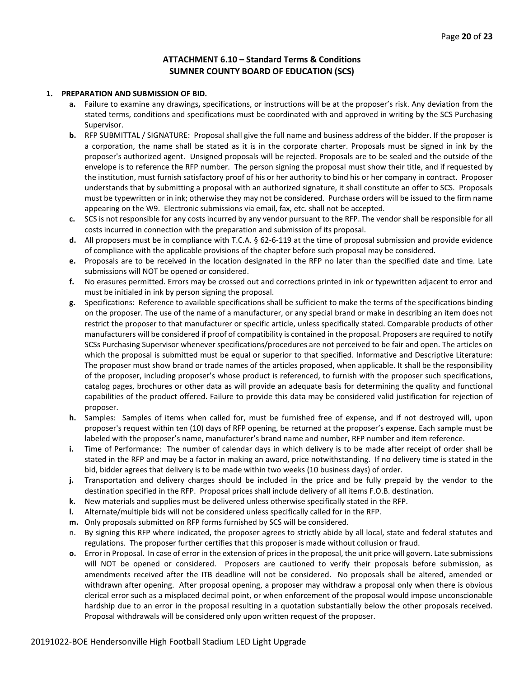#### **ATTACHMENT 6.10 – Standard Terms & Conditions SUMNER COUNTY BOARD OF EDUCATION (SCS)**

#### **1. PREPARATION AND SUBMISSION OF BID.**

- **a.** Failure to examine any drawings**,** specifications, or instructions will be at the proposer's risk. Any deviation from the stated terms, conditions and specifications must be coordinated with and approved in writing by the SCS Purchasing Supervisor.
- **b.** RFP SUBMITTAL / SIGNATURE: Proposal shall give the full name and business address of the bidder. If the proposer is a corporation, the name shall be stated as it is in the corporate charter. Proposals must be signed in ink by the proposer's authorized agent. Unsigned proposals will be rejected. Proposals are to be sealed and the outside of the envelope is to reference the RFP number. The person signing the proposal must show their title, and if requested by the institution, must furnish satisfactory proof of his or her authority to bind his or her company in contract. Proposer understands that by submitting a proposal with an authorized signature, it shall constitute an offer to SCS. Proposals must be typewritten or in ink; otherwise they may not be considered. Purchase orders will be issued to the firm name appearing on the W9. Electronic submissions via email, fax, etc. shall not be accepted.
- **c.** SCS is not responsible for any costs incurred by any vendor pursuant to the RFP. The vendor shall be responsible for all costs incurred in connection with the preparation and submission of its proposal.
- **d.** All proposers must be in compliance with T.C.A. § 62-6-119 at the time of proposal submission and provide evidence of compliance with the applicable provisions of the chapter before such proposal may be considered.
- **e.** Proposals are to be received in the location designated in the RFP no later than the specified date and time. Late submissions will NOT be opened or considered.
- **f.** No erasures permitted. Errors may be crossed out and corrections printed in ink or typewritten adjacent to error and must be initialed in ink by person signing the proposal.
- **g.** Specifications: Reference to available specifications shall be sufficient to make the terms of the specifications binding on the proposer. The use of the name of a manufacturer, or any special brand or make in describing an item does not restrict the proposer to that manufacturer or specific article, unless specifically stated. Comparable products of other manufacturers will be considered if proof of compatibility is contained in the proposal. Proposers are required to notify SCSs Purchasing Supervisor whenever specifications/procedures are not perceived to be fair and open. The articles on which the proposal is submitted must be equal or superior to that specified. Informative and Descriptive Literature: The proposer must show brand or trade names of the articles proposed, when applicable. It shall be the responsibility of the proposer, including proposer's whose product is referenced, to furnish with the proposer such specifications, catalog pages, brochures or other data as will provide an adequate basis for determining the quality and functional capabilities of the product offered. Failure to provide this data may be considered valid justification for rejection of proposer.
- **h.** Samples: Samples of items when called for, must be furnished free of expense, and if not destroyed will, upon proposer's request within ten (10) days of RFP opening, be returned at the proposer's expense. Each sample must be labeled with the proposer's name, manufacturer's brand name and number, RFP number and item reference.
- **i.** Time of Performance: The number of calendar days in which delivery is to be made after receipt of order shall be stated in the RFP and may be a factor in making an award, price notwithstanding. If no delivery time is stated in the bid, bidder agrees that delivery is to be made within two weeks (10 business days) of order.
- **j.** Transportation and delivery charges should be included in the price and be fully prepaid by the vendor to the destination specified in the RFP. Proposal prices shall include delivery of all items F.O.B. destination.
- **k.** New materials and supplies must be delivered unless otherwise specifically stated in the RFP.
- **l.** Alternate/multiple bids will not be considered unless specifically called for in the RFP.
- **m.** Only proposals submitted on RFP forms furnished by SCS will be considered.
- n. By signing this RFP where indicated, the proposer agrees to strictly abide by all local, state and federal statutes and regulations. The proposer further certifies that this proposer is made without collusion or fraud.
- **o.** Error in Proposal. In case of error in the extension of prices in the proposal, the unit price will govern. Late submissions will NOT be opened or considered. Proposers are cautioned to verify their proposals before submission, as amendments received after the ITB deadline will not be considered. No proposals shall be altered, amended or withdrawn after opening. After proposal opening, a proposer may withdraw a proposal only when there is obvious clerical error such as a misplaced decimal point, or when enforcement of the proposal would impose unconscionable hardship due to an error in the proposal resulting in a quotation substantially below the other proposals received. Proposal withdrawals will be considered only upon written request of the proposer.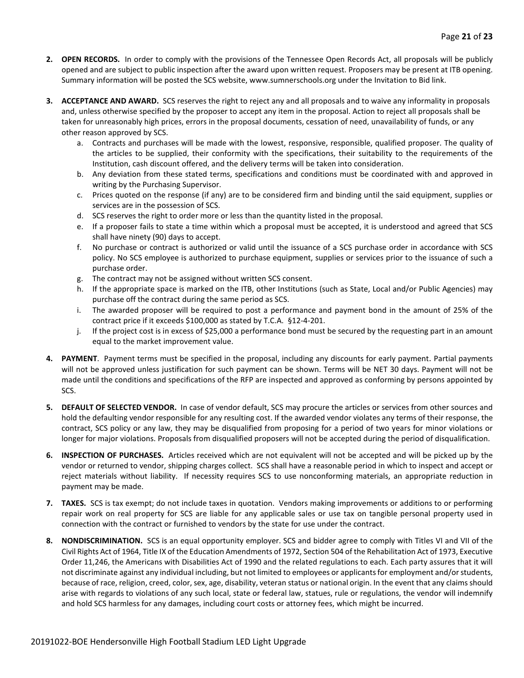- **2. OPEN RECORDS.** In order to comply with the provisions of the Tennessee Open Records Act, all proposals will be publicly opened and are subject to public inspection after the award upon written request. Proposers may be present at ITB opening. Summary information will be posted the SCS website, www.sumnerschools.org under the Invitation to Bid link.
- **3. ACCEPTANCE AND AWARD.** SCS reserves the right to reject any and all proposals and to waive any informality in proposals and, unless otherwise specified by the proposer to accept any item in the proposal. Action to reject all proposals shall be taken for unreasonably high prices, errors in the proposal documents, cessation of need, unavailability of funds, or any other reason approved by SCS.
	- a. Contracts and purchases will be made with the lowest, responsive, responsible, qualified proposer. The quality of the articles to be supplied, their conformity with the specifications, their suitability to the requirements of the Institution, cash discount offered, and the delivery terms will be taken into consideration.
	- b. Any deviation from these stated terms, specifications and conditions must be coordinated with and approved in writing by the Purchasing Supervisor.
	- c. Prices quoted on the response (if any) are to be considered firm and binding until the said equipment, supplies or services are in the possession of SCS.
	- d. SCS reserves the right to order more or less than the quantity listed in the proposal.
	- e. If a proposer fails to state a time within which a proposal must be accepted, it is understood and agreed that SCS shall have ninety (90) days to accept.
	- f. No purchase or contract is authorized or valid until the issuance of a SCS purchase order in accordance with SCS policy. No SCS employee is authorized to purchase equipment, supplies or services prior to the issuance of such a purchase order.
	- g. The contract may not be assigned without written SCS consent.
	- h. If the appropriate space is marked on the ITB, other Institutions (such as State, Local and/or Public Agencies) may purchase off the contract during the same period as SCS.
	- i. The awarded proposer will be required to post a performance and payment bond in the amount of 25% of the contract price if it exceeds \$100,000 as stated by T.C.A. §12-4-201.
	- j. If the project cost is in excess of \$25,000 a performance bond must be secured by the requesting part in an amount equal to the market improvement value.
- **4. PAYMENT**. Payment terms must be specified in the proposal, including any discounts for early payment. Partial payments will not be approved unless justification for such payment can be shown. Terms will be NET 30 days. Payment will not be made until the conditions and specifications of the RFP are inspected and approved as conforming by persons appointed by SCS.
- **5. DEFAULT OF SELECTED VENDOR.** In case of vendor default, SCS may procure the articles or services from other sources and hold the defaulting vendor responsible for any resulting cost. If the awarded vendor violates any terms of their response, the contract, SCS policy or any law, they may be disqualified from proposing for a period of two years for minor violations or longer for major violations. Proposals from disqualified proposers will not be accepted during the period of disqualification.
- **6. INSPECTION OF PURCHASES.** Articles received which are not equivalent will not be accepted and will be picked up by the vendor or returned to vendor, shipping charges collect. SCS shall have a reasonable period in which to inspect and accept or reject materials without liability. If necessity requires SCS to use nonconforming materials, an appropriate reduction in payment may be made.
- **7. TAXES.** SCS is tax exempt; do not include taxes in quotation. Vendors making improvements or additions to or performing repair work on real property for SCS are liable for any applicable sales or use tax on tangible personal property used in connection with the contract or furnished to vendors by the state for use under the contract.
- **8. NONDISCRIMINATION.** SCS is an equal opportunity employer. SCS and bidder agree to comply with Titles VI and VII of the Civil Rights Act of 1964, Title IX of the Education Amendments of 1972, Section 504 of the Rehabilitation Act of 1973, Executive Order 11,246, the Americans with Disabilities Act of 1990 and the related regulations to each. Each party assures that it will not discriminate against any individual including, but not limited to employees or applicants for employment and/or students, because of race, religion, creed, color, sex, age, disability, veteran status or national origin. In the event that any claims should arise with regards to violations of any such local, state or federal law, statues, rule or regulations, the vendor will indemnify and hold SCS harmless for any damages, including court costs or attorney fees, which might be incurred.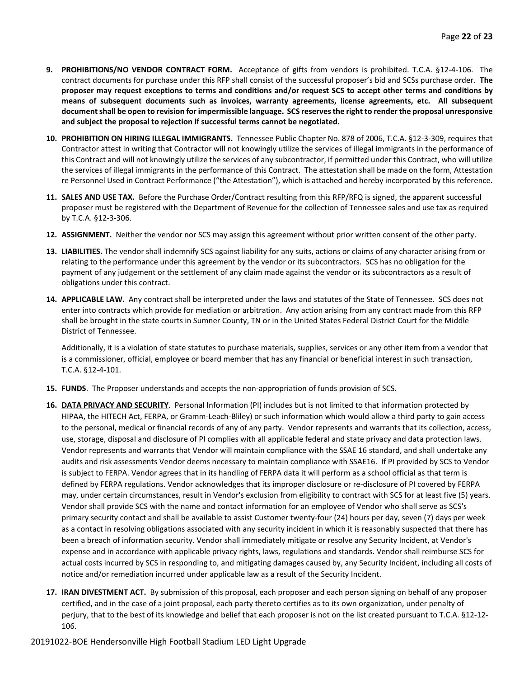- **9. PROHIBITIONS/NO VENDOR CONTRACT FORM.** Acceptance of gifts from vendors is prohibited. T.C.A. §12-4-106. The contract documents for purchase under this RFP shall consist of the successful proposer's bid and SCSs purchase order. **The proposer may request exceptions to terms and conditions and/or request SCS to accept other terms and conditions by means of subsequent documents such as invoices, warranty agreements, license agreements, etc. All subsequent document shall be open to revision for impermissible language. SCS reserves the right to render the proposal unresponsive and subject the proposal to rejection if successful terms cannot be negotiated.**
- **10. PROHIBITION ON HIRING ILLEGAL IMMIGRANTS.** Tennessee Public Chapter No. 878 of 2006, T.C.A. §12-3-309, requires that Contractor attest in writing that Contractor will not knowingly utilize the services of illegal immigrants in the performance of this Contract and will not knowingly utilize the services of any subcontractor, if permitted under this Contract, who will utilize the services of illegal immigrants in the performance of this Contract. The attestation shall be made on the form, Attestation re Personnel Used in Contract Performance ("the Attestation"), which is attached and hereby incorporated by this reference.
- **11. SALES AND USE TAX.** Before the Purchase Order/Contract resulting from this RFP/RFQ is signed, the apparent successful proposer must be registered with the Department of Revenue for the collection of Tennessee sales and use tax as required by T.C.A. §12-3-306.
- **12. ASSIGNMENT.** Neither the vendor nor SCS may assign this agreement without prior written consent of the other party.
- **13. LIABILITIES.** The vendor shall indemnify SCS against liability for any suits, actions or claims of any character arising from or relating to the performance under this agreement by the vendor or its subcontractors. SCS has no obligation for the payment of any judgement or the settlement of any claim made against the vendor or its subcontractors as a result of obligations under this contract.
- **14. APPLICABLE LAW.** Any contract shall be interpreted under the laws and statutes of the State of Tennessee. SCS does not enter into contracts which provide for mediation or arbitration. Any action arising from any contract made from this RFP shall be brought in the state courts in Sumner County, TN or in the United States Federal District Court for the Middle District of Tennessee.

Additionally, it is a violation of state statutes to purchase materials, supplies, services or any other item from a vendor that is a commissioner, official, employee or board member that has any financial or beneficial interest in such transaction, T.C.A. §12-4-101.

- **15. FUNDS**. The Proposer understands and accepts the non-appropriation of funds provision of SCS.
- **16. DATA PRIVACY AND SECURITY**. Personal Information (PI) includes but is not limited to that information protected by HIPAA, the HITECH Act, FERPA, or Gramm-Leach-Bliley) or such information which would allow a third party to gain access to the personal, medical or financial records of any of any party. Vendor represents and warrants that its collection, access, use, storage, disposal and disclosure of PI complies with all applicable federal and state privacy and data protection laws. Vendor represents and warrants that Vendor will maintain compliance with the SSAE 16 standard, and shall undertake any audits and risk assessments Vendor deems necessary to maintain compliance with SSAE16. If PI provided by SCS to Vendor is subject to FERPA. Vendor agrees that in its handling of FERPA data it will perform as a school official as that term is defined by FERPA regulations. Vendor acknowledges that its improper disclosure or re-disclosure of PI covered by FERPA may, under certain circumstances, result in Vendor's exclusion from eligibility to contract with SCS for at least five (5) years. Vendor shall provide SCS with the name and contact information for an employee of Vendor who shall serve as SCS's primary security contact and shall be available to assist Customer twenty-four (24) hours per day, seven (7) days per week as a contact in resolving obligations associated with any security incident in which it is reasonably suspected that there has been a breach of information security. Vendor shall immediately mitigate or resolve any Security Incident, at Vendor's expense and in accordance with applicable privacy rights, laws, regulations and standards. Vendor shall reimburse SCS for actual costs incurred by SCS in responding to, and mitigating damages caused by, any Security Incident, including all costs of notice and/or remediation incurred under applicable law as a result of the Security Incident.
- **17. IRAN DIVESTMENT ACT.** By submission of this proposal, each proposer and each person signing on behalf of any proposer certified, and in the case of a joint proposal, each party thereto certifies as to its own organization, under penalty of perjury, that to the best of its knowledge and belief that each proposer is not on the list created pursuant to T.C.A. §12-12- 106.